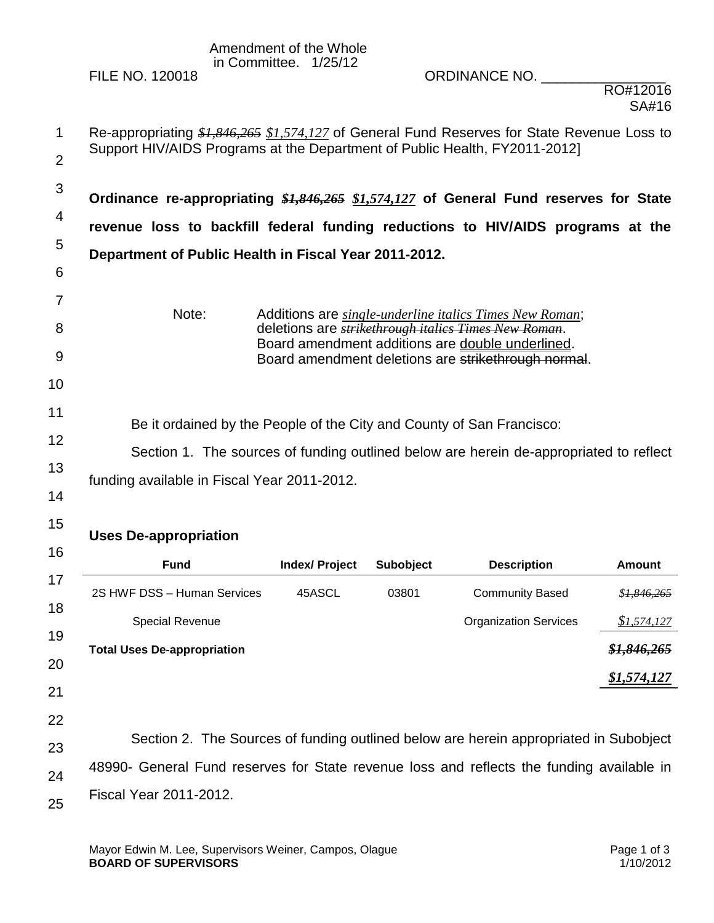## Amendment of the Whole in Committee. 1/25/12

FILE NO. 120018 ORDINANCE NO. \_\_\_\_\_\_\_\_\_\_\_\_\_\_\_\_

| $\mathbf 1$          | Re-appropriating \$1,846,265 \$1,574,127 of General Fund Reserves for State Revenue Loss to<br>Support HIV/AIDS Programs at the Department of Public Health, FY2011-2012]                                      |                |           |                                                                                                                                 |               |  |  |  |
|----------------------|----------------------------------------------------------------------------------------------------------------------------------------------------------------------------------------------------------------|----------------|-----------|---------------------------------------------------------------------------------------------------------------------------------|---------------|--|--|--|
| $\overline{2}$       |                                                                                                                                                                                                                |                |           |                                                                                                                                 |               |  |  |  |
| 3                    | Ordinance re-appropriating \$1,846,265 \$1,574,127 of General Fund reserves for State                                                                                                                          |                |           |                                                                                                                                 |               |  |  |  |
| 4                    | revenue loss to backfill federal funding reductions to HIV/AIDS programs at the                                                                                                                                |                |           |                                                                                                                                 |               |  |  |  |
| 5                    | Department of Public Health in Fiscal Year 2011-2012.                                                                                                                                                          |                |           |                                                                                                                                 |               |  |  |  |
| 6                    |                                                                                                                                                                                                                |                |           |                                                                                                                                 |               |  |  |  |
| 7<br>8               | Note:                                                                                                                                                                                                          |                |           | Additions are <i>single-underline italics Times New Roman</i> ;<br>deletions are <i>strikethrough italics Times New Roman</i> . |               |  |  |  |
| 9<br>10              |                                                                                                                                                                                                                |                |           | Board amendment additions are double underlined.<br>Board amendment deletions are strikethrough normal.                         |               |  |  |  |
| 11<br>12<br>13<br>14 | Be it ordained by the People of the City and County of San Francisco:<br>Section 1. The sources of funding outlined below are herein de-appropriated to reflect<br>funding available in Fiscal Year 2011-2012. |                |           |                                                                                                                                 |               |  |  |  |
| 15                   | <b>Uses De-appropriation</b>                                                                                                                                                                                   |                |           |                                                                                                                                 |               |  |  |  |
| 16                   | <b>Fund</b>                                                                                                                                                                                                    | Index/ Project | Subobject | <b>Description</b>                                                                                                              | <b>Amount</b> |  |  |  |
| 17                   | 2S HWF DSS - Human Services                                                                                                                                                                                    | 45ASCL         | 03801     | <b>Community Based</b>                                                                                                          | \$1,846,265   |  |  |  |
| 18                   | Special Revenue                                                                                                                                                                                                |                |           | <b>Organization Services</b>                                                                                                    | \$1,574,127   |  |  |  |
| 19<br>20             | <b>Total Uses De-appropriation</b>                                                                                                                                                                             |                |           |                                                                                                                                 | \$1,846,265   |  |  |  |
| 21                   |                                                                                                                                                                                                                |                |           |                                                                                                                                 | \$1,574,127   |  |  |  |
| 22                   |                                                                                                                                                                                                                |                |           |                                                                                                                                 |               |  |  |  |
| 23                   | Section 2. The Sources of funding outlined below are herein appropriated in Subobject                                                                                                                          |                |           |                                                                                                                                 |               |  |  |  |
| 24                   | 48990- General Fund reserves for State revenue loss and reflects the funding available in                                                                                                                      |                |           |                                                                                                                                 |               |  |  |  |
| 25                   | <b>Fiscal Year 2011-2012.</b>                                                                                                                                                                                  |                |           |                                                                                                                                 |               |  |  |  |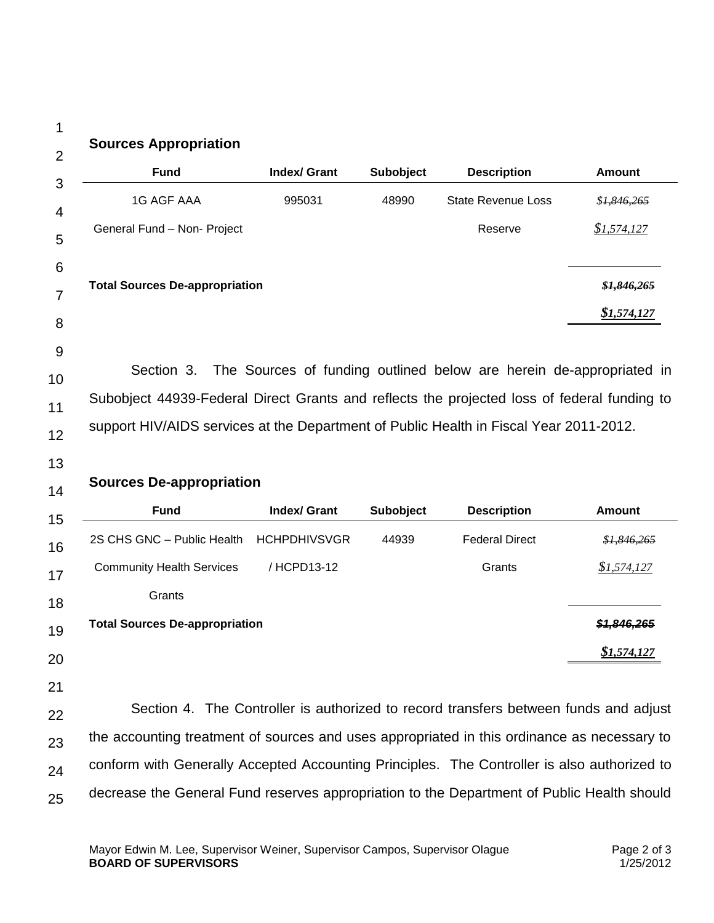1 2

## **Sources Appropriation**

|                                                                                                                                                                                                     | <b>Index/ Grant</b> | Subobject        | <b>Description</b>                                                                   | <b>Amount</b>              |
|-----------------------------------------------------------------------------------------------------------------------------------------------------------------------------------------------------|---------------------|------------------|--------------------------------------------------------------------------------------|----------------------------|
| <b>1G AGF AAA</b>                                                                                                                                                                                   | 995031              | 48990            | <b>State Revenue Loss</b>                                                            | \$1,846,265                |
| General Fund - Non- Project                                                                                                                                                                         |                     |                  | Reserve                                                                              | \$1,574,127                |
| <b>Total Sources De-appropriation</b>                                                                                                                                                               |                     |                  |                                                                                      | \$1,846,265                |
|                                                                                                                                                                                                     |                     |                  |                                                                                      | \$1,574,127                |
| Section 3.<br>Subobject 44939-Federal Direct Grants and reflects the projected loss of federal funding to<br>support HIV/AIDS services at the Department of Public Health in Fiscal Year 2011-2012. |                     |                  | The Sources of funding outlined below are herein de-appropriated in                  |                            |
| <b>Sources De-appropriation</b>                                                                                                                                                                     |                     |                  |                                                                                      |                            |
| <b>Fund</b>                                                                                                                                                                                         | <b>Index/ Grant</b> | <b>Subobject</b> | <b>Description</b>                                                                   | <b>Amount</b>              |
| 2S CHS GNC - Public Health                                                                                                                                                                          | <b>HCHPDHIVSVGR</b> | 44939            | <b>Federal Direct</b>                                                                |                            |
|                                                                                                                                                                                                     |                     |                  |                                                                                      |                            |
| <b>Community Health Services</b>                                                                                                                                                                    | /HCPD13-12          |                  | Grants                                                                               | \$1,574,127                |
| Grants                                                                                                                                                                                              |                     |                  |                                                                                      |                            |
|                                                                                                                                                                                                     |                     |                  |                                                                                      |                            |
|                                                                                                                                                                                                     |                     |                  |                                                                                      | \$1,574,127                |
|                                                                                                                                                                                                     |                     |                  |                                                                                      | \$1,846,265<br>\$1,846,265 |
|                                                                                                                                                                                                     |                     |                  | Section 4. The Controller is authorized to record transfers between funds and adjust |                            |
| <b>Total Sources De-appropriation</b><br>the accounting treatment of sources and uses appropriated in this ordinance as necessary to                                                                |                     |                  |                                                                                      |                            |

25 decrease the General Fund reserves appropriation to the Department of Public Health should